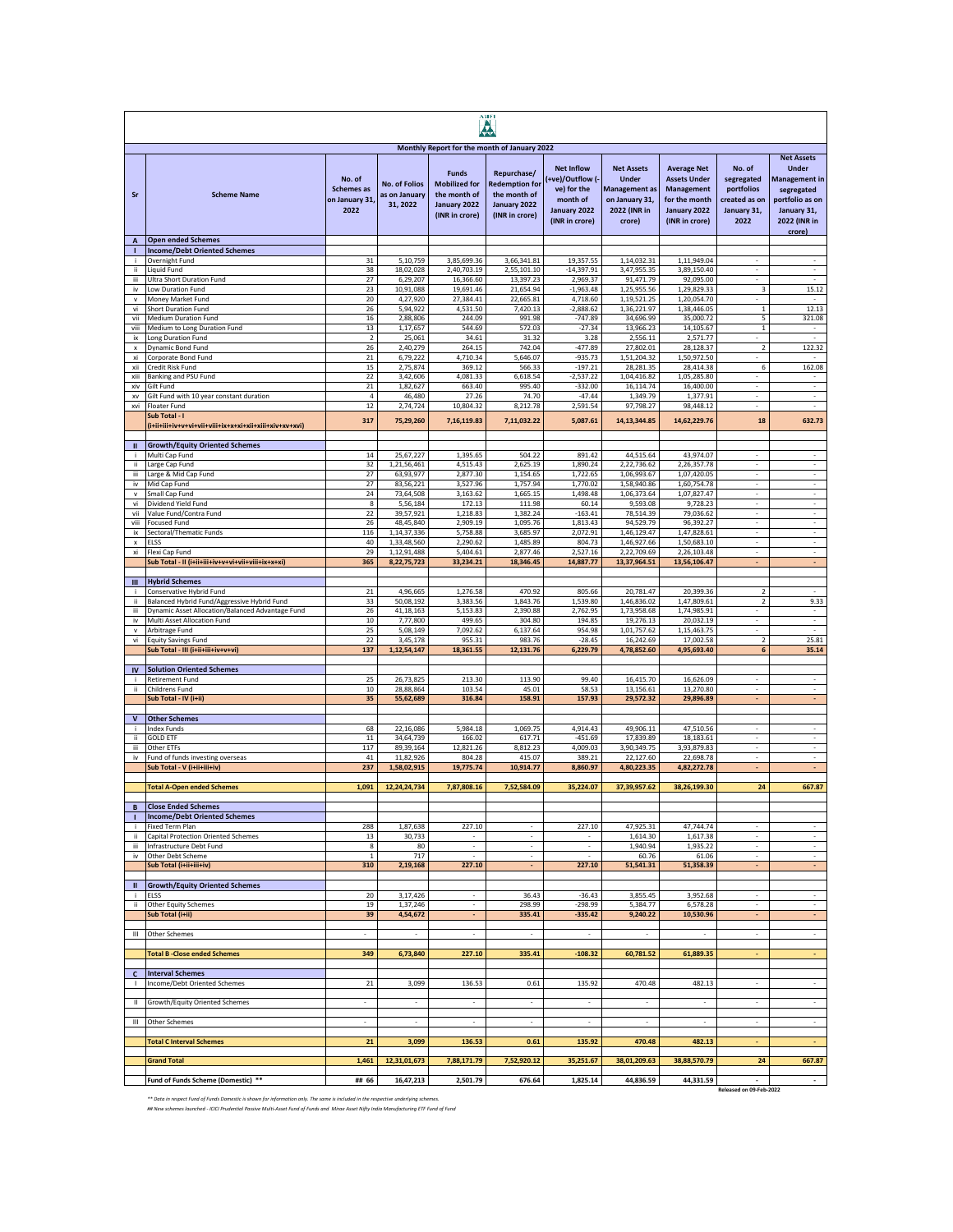|                                 | AMFI                                                                                            |                                                       |                                                   |                                                                                        |                                                                                        |                                                                                                   |                                                                                                       |                                                                                                            |                                                                            |                                                                                                                |
|---------------------------------|-------------------------------------------------------------------------------------------------|-------------------------------------------------------|---------------------------------------------------|----------------------------------------------------------------------------------------|----------------------------------------------------------------------------------------|---------------------------------------------------------------------------------------------------|-------------------------------------------------------------------------------------------------------|------------------------------------------------------------------------------------------------------------|----------------------------------------------------------------------------|----------------------------------------------------------------------------------------------------------------|
|                                 |                                                                                                 |                                                       |                                                   | Monthly Report for the month of January 2022                                           |                                                                                        |                                                                                                   |                                                                                                       |                                                                                                            |                                                                            | <b>Net Assets</b>                                                                                              |
| Sr                              | <b>Scheme Name</b>                                                                              | No. of<br><b>Schemes</b> as<br>on January 31,<br>2022 | <b>No. of Folios</b><br>as on January<br>31, 2022 | <b>Funds</b><br><b>Mobilized for</b><br>the month of<br>January 2022<br>(INR in crore) | Repurchase/<br><b>Redemption for</b><br>the month of<br>January 2022<br>(INR in crore) | <b>Net Inflow</b><br>+ve)/Outflow (-<br>ve) for the<br>month of<br>January 2022<br>(INR in crore) | <b>Net Assets</b><br><b>Under</b><br><b>Management</b> as<br>on January 31,<br>2022 (INR in<br>crore) | <b>Average Net</b><br><b>Assets Under</b><br>Management<br>for the month<br>January 2022<br>(INR in crore) | No. of<br>segregated<br>portfolios<br>created as on<br>January 31,<br>2022 | <b>Under</b><br><b>Management in</b><br>segregated<br>portfolio as on<br>January 31,<br>2022 (INR in<br>crore) |
| $\overline{A}$<br>т             | <b>Open ended Schemes</b><br><b>Income/Debt Oriented Schemes</b>                                |                                                       |                                                   |                                                                                        |                                                                                        |                                                                                                   |                                                                                                       |                                                                                                            |                                                                            |                                                                                                                |
| j.                              | Overnight Fund                                                                                  | 31                                                    | 5.10.759                                          | 3,85,699.36                                                                            | 3,66,341.81                                                                            | 19.357.55                                                                                         | 1,14,032.31                                                                                           | 1,11,949.04                                                                                                |                                                                            |                                                                                                                |
| ii.<br>iii.                     | <b>Liquid Fund</b><br>Ultra Short Duration Fund                                                 | 38<br>27                                              | 18,02,028<br>6,29,207                             | 2,40,703.19<br>16,366.60                                                               | 2,55,101.10<br>13,397.23                                                               | $-14.397.91$<br>2,969.37                                                                          | 3,47,955.35<br>91,471.79                                                                              | 3.89.150.40<br>92,095.00                                                                                   | $\sim$                                                                     | $\overline{\phantom{a}}$<br>$\sim$                                                                             |
| iv                              | Low Duration Fund                                                                               | 23                                                    | 10,91,088                                         | 19,691.46                                                                              | 21,654.94                                                                              | $-1,963.48$                                                                                       | 1,25,955.56                                                                                           | 1,29,829.33                                                                                                | 3                                                                          | 15.12                                                                                                          |
| $\mathsf{v}$<br>vi              | Money Market Fund<br>Short Duration Fund                                                        | 20<br>26                                              | 4,27,920<br>5,94,922                              | 27,384.41<br>4,531.50                                                                  | 22,665.81<br>7,420.13                                                                  | 4,718.60<br>$-2,888.62$                                                                           | 1,19,521.25<br>1,36,221.97                                                                            | 1,20,054.70<br>1,38,446.05                                                                                 | $\overline{\phantom{a}}$<br>$\mathbf{1}$                                   | 12.13                                                                                                          |
| vii                             | Medium Duration Fund                                                                            | 16                                                    | 2,88,806                                          | 244.09                                                                                 | 991.98                                                                                 | $-747.89$                                                                                         | 34,696.99                                                                                             | 35,000.72                                                                                                  | 5                                                                          | 321.08                                                                                                         |
| viii                            | Medium to Long Duration Fund                                                                    | 13<br>$\overline{2}$                                  | 1,17,657<br>25,061                                | 544.69<br>34.61                                                                        | 572.03<br>31.32                                                                        | $-27.34$<br>3.28                                                                                  | 13,966.23<br>2,556.11                                                                                 | 14,105.67<br>2,571.77                                                                                      | $\mathbf{1}$                                                               | J.                                                                                                             |
| ix<br>x                         | Long Duration Fund<br>Dynamic Bond Fund                                                         | 26                                                    | 2,40,279                                          | 264.15                                                                                 | 742.04                                                                                 | -477.89                                                                                           | 27,802.01                                                                                             | 28,128.37                                                                                                  | $\overline{2}$                                                             | 122.32                                                                                                         |
| xi                              | Corporate Bond Fund                                                                             | 21                                                    | 6,79,222                                          | 4,710.34                                                                               | 5,646.07                                                                               | $-935.73$                                                                                         | 1,51,204.32                                                                                           | 1,50,972.50                                                                                                |                                                                            |                                                                                                                |
| xii<br>xiii                     | Credit Risk Fund<br>Banking and PSU Fund                                                        | 15<br>22                                              | 2,75,874<br>3,42,606                              | 369.12<br>4,081.33                                                                     | 566.33<br>6,618.54                                                                     | $-197.21$<br>$-2,537.22$                                                                          | 28,281.35<br>1,04,416.82                                                                              | 28,414.38<br>1,05,285.80                                                                                   | 6                                                                          | 162.08                                                                                                         |
| xiv                             | Gilt Fund                                                                                       | 21                                                    | 1,82,627                                          | 663.40                                                                                 | 995.40                                                                                 | $-332.00$                                                                                         | 16,114.74                                                                                             | 16,400.00                                                                                                  |                                                                            | $\overline{\phantom{a}}$                                                                                       |
| xv<br>xvi                       | Gilt Fund with 10 year constant duration<br>Floater Fund                                        | $\sqrt{4}$<br>12                                      | 46,480<br>2,74,724                                | 27.26<br>10,804.32                                                                     | 74.70<br>8,212.78                                                                      | $-47.44$<br>2,591.54                                                                              | 1,349.79<br>97,798.27                                                                                 | 1,377.91<br>98,448.12                                                                                      | $\overline{\phantom{a}}$<br>$\sim$                                         | $\overline{\phantom{a}}$<br>$\overline{\phantom{a}}$                                                           |
|                                 | Sub Total - I                                                                                   | 317                                                   | 75,29,260                                         | 7,16,119.83                                                                            | 7,11,032.22                                                                            | 5,087.61                                                                                          | 14, 13, 344.85                                                                                        | 14,62,229.76                                                                                               | 18                                                                         | 632.73                                                                                                         |
|                                 |                                                                                                 |                                                       |                                                   |                                                                                        |                                                                                        |                                                                                                   |                                                                                                       |                                                                                                            |                                                                            |                                                                                                                |
| $\mathbf{u}$<br>j.              | <b>Growth/Equity Oriented Schemes</b><br>Multi Cap Fund                                         | 14                                                    | 25,67,227                                         | 1,395.65                                                                               | 504.22                                                                                 | 891.42                                                                                            | 44,515.64                                                                                             | 43,974.07                                                                                                  | $\sim$                                                                     | $\sim$                                                                                                         |
| ï                               | Large Cap Fund                                                                                  | 32                                                    | 1,21,56,461                                       | 4,515.43                                                                               | 2,625.19                                                                               | 1,890.24                                                                                          | 2,22,736.62                                                                                           | 2,26,357.78                                                                                                | $\sim$                                                                     | ÷.                                                                                                             |
| iii<br>iv                       | Large & Mid Cap Fund<br>Mid Cap Fund                                                            | 27<br>27                                              | 63,93,977<br>83,56,221                            | 2,877.30<br>3,527.96                                                                   | 1,154.65<br>1,757.94                                                                   | 1,722.65<br>1,770.02                                                                              | 1,06,993.67<br>1,58,940.86                                                                            | 1,07,420.05<br>1,60,754.78                                                                                 | $\sim$<br>÷.                                                               |                                                                                                                |
| $\mathsf{v}$                    | Small Cap Fund                                                                                  | 24                                                    | 73,64,508                                         | 3,163.62                                                                               | 1,665.15                                                                               | 1.498.48                                                                                          | 1,06,373.64                                                                                           | 1,07,827.47                                                                                                |                                                                            |                                                                                                                |
| vi<br>vii                       | Dividend Yield Fund<br>Value Fund/Contra Fund                                                   | 8<br>22                                               | 5,56,184<br>39,57,921                             | 172.13<br>1,218.83                                                                     | 111.98<br>1,382.24                                                                     | 60.14<br>$-163.41$                                                                                | 9,593.08<br>78,514.39                                                                                 | 9,728.23<br>79,036.62                                                                                      | $\overline{\phantom{a}}$<br>$\overline{\phantom{a}}$                       | $\overline{\phantom{a}}$<br>$\sim$                                                                             |
| viii                            | <b>Focused Fund</b>                                                                             | 26                                                    | 48,45,840                                         | 2,909.19                                                                               | 1,095.76                                                                               | 1,813.43                                                                                          | 94,529.79                                                                                             | 96,392.27                                                                                                  | $\overline{\phantom{a}}$                                                   | $\cdot$                                                                                                        |
| ix<br>$\boldsymbol{\mathsf{x}}$ | Sectoral/Thematic Funds<br><b>ELSS</b>                                                          | 116<br>40                                             | 1,14,37,336<br>1,33,48,560                        | 5,758.88<br>2,290.62                                                                   | 3,685.97<br>1,485.89                                                                   | 2,072.91<br>804.73                                                                                | 1,46,129.47<br>1,46,927.66                                                                            | 1,47,828.61<br>1,50,683.10                                                                                 | $\overline{\phantom{a}}$<br>$\overline{\phantom{a}}$                       | $\overline{\phantom{a}}$<br>$\overline{\phantom{a}}$                                                           |
| xi                              | Flexi Cap Fund                                                                                  | 29                                                    | 1,12,91,488                                       | 5,404.61                                                                               | 2.877.46                                                                               | 2,527.16                                                                                          | 2,22,709.69                                                                                           | 2,26,103.48                                                                                                | $\epsilon$                                                                 | ×                                                                                                              |
|                                 | Sub Total - II (i+ii+iii+iv+v+vi+vii+viii+ix+x+xi)                                              | 365                                                   | 8,22,75,723                                       | 33,234.21                                                                              | 18,346.45                                                                              | 14,887.77                                                                                         | 13,37,964.51                                                                                          | 13,56,106.47                                                                                               | ÷.                                                                         | ÷.                                                                                                             |
| Ш                               | <b>Hybrid Schemes</b>                                                                           |                                                       |                                                   |                                                                                        |                                                                                        |                                                                                                   |                                                                                                       |                                                                                                            |                                                                            |                                                                                                                |
| j.                              | Conservative Hybrid Fund                                                                        | 21                                                    | 4,96,665                                          | 1,276.58                                                                               | 470.92                                                                                 | 805.66                                                                                            | 20,781.47                                                                                             | 20,399.36                                                                                                  | $\overline{2}$                                                             |                                                                                                                |
| ii.<br>iii                      | Balanced Hybrid Fund/Aggressive Hybrid Fund<br>Dynamic Asset Allocation/Balanced Advantage Fund | 33<br>26                                              | 50,08,192<br>41,18,163                            | 3,383.56<br>5,153.83                                                                   | 1,843.76<br>2,390.88                                                                   | 1,539.80<br>2,762.95                                                                              | 1,46,836.02<br>1,73,958.68                                                                            | 1,47,809.61<br>1,74,985.91                                                                                 | $\overline{2}$                                                             | 9.33<br>$\overline{\phantom{a}}$                                                                               |
| iv                              | Multi Asset Allocation Fund                                                                     | 10                                                    | 7,77,800                                          | 499.65                                                                                 | 304.80                                                                                 | 194.85                                                                                            | 19,276.13                                                                                             | 20,032.19                                                                                                  | $\sim$                                                                     | $\sim$                                                                                                         |
| v<br>vi                         | Arbitrage Fund<br><b>Equity Savings Fund</b>                                                    | 25<br>22                                              | 5,08,149<br>3,45,178                              | 7,092.62<br>955.31                                                                     | 6,137.64<br>983.76                                                                     | 954.98<br>$-28.45$                                                                                | 1,01,757.62<br>16,242.69                                                                              | 1,15,463.75<br>17,002.58                                                                                   | $\overline{\phantom{a}}$<br>$\overline{2}$                                 | $\overline{\phantom{a}}$<br>25.81                                                                              |
|                                 | Sub Total - III (i+ii+iii+iv+v+vi)                                                              | 137                                                   | 1,12,54,147                                       | 18,361.55                                                                              | 12,131.76                                                                              | 6,229.79                                                                                          | 4,78,852.60                                                                                           | 4,95,693.40                                                                                                | 6                                                                          | 35.14                                                                                                          |
| IV                              | <b>Solution Oriented Schemes</b>                                                                |                                                       |                                                   |                                                                                        |                                                                                        |                                                                                                   |                                                                                                       |                                                                                                            |                                                                            |                                                                                                                |
|                                 | <b>Retirement Fund</b>                                                                          | 25                                                    | 26,73,825                                         | 213.30                                                                                 | 113.90                                                                                 | 99.40                                                                                             | 16,415.70                                                                                             | 16,626.09                                                                                                  |                                                                            | $\omega$                                                                                                       |
| ii.                             | Childrens Fund<br>Sub Total - IV (i+ii)                                                         | 10<br>35                                              | 28,88,864<br>55,62,689                            | 103.54<br>316.84                                                                       | 45.01<br>158.91                                                                        | 58.53<br>157.93                                                                                   | 13,156.61<br>29,572.32                                                                                | 13,270.80<br>29,896.89                                                                                     |                                                                            |                                                                                                                |
|                                 |                                                                                                 |                                                       |                                                   |                                                                                        |                                                                                        |                                                                                                   |                                                                                                       |                                                                                                            |                                                                            |                                                                                                                |
| $\mathsf{V}$                    | <b>Other Schemes</b>                                                                            |                                                       |                                                   |                                                                                        |                                                                                        |                                                                                                   |                                                                                                       |                                                                                                            |                                                                            |                                                                                                                |
| ÷<br>ji.                        | <b>Index Funds</b><br><b>GOLD ETF</b>                                                           | 68<br>11                                              | 22,16,086<br>34,64,739                            | 5,984.18<br>166.02                                                                     | 1,069.75<br>617.71                                                                     | 4,914.43<br>$-451.69$                                                                             | 49,906.11<br>17,839.89                                                                                | 47,510.56<br>18,183.61                                                                                     | $\overline{\phantom{a}}$<br>$\overline{\phantom{a}}$                       | $\cdot$<br>$\overline{\phantom{a}}$                                                                            |
| iii                             | Other ETFs                                                                                      | 117                                                   | 89,39,164                                         | 12.821.26                                                                              | 8.812.23                                                                               | 4,009.03                                                                                          | 3.90.349.75                                                                                           | 3.93.879.83                                                                                                | ÷.                                                                         | $\epsilon$                                                                                                     |
| iv                              | Fund of funds investing overseas<br>Sub Total - V (i+ii+iii+iv)                                 | 41<br>237                                             | 11,82,926<br>1,58,02,915                          | 804.28<br>19,775.74                                                                    | 415.07<br>10,914.77                                                                    | 389.21<br>8,860.97                                                                                | 22,127.60<br>4,80,223.35                                                                              | 22,698.78<br>4,82,272.78                                                                                   | ÷.<br>÷                                                                    | $\epsilon$<br>×.                                                                                               |
|                                 |                                                                                                 |                                                       |                                                   |                                                                                        |                                                                                        |                                                                                                   |                                                                                                       |                                                                                                            |                                                                            |                                                                                                                |
|                                 | <b>Total A-Open ended Schemes</b>                                                               | 1,091                                                 | 12,24,24,734                                      | 7,87,808.16                                                                            | 7,52,584.09                                                                            | 35,224.07                                                                                         | 37,39,957.62                                                                                          | 38,26,199.30                                                                                               | 24                                                                         | 667.87                                                                                                         |
|                                 | Close Ended Schemes                                                                             |                                                       |                                                   |                                                                                        |                                                                                        |                                                                                                   |                                                                                                       |                                                                                                            |                                                                            |                                                                                                                |
|                                 | <b>Income/Debt Oriented Schemes</b><br>Fixed Term Plan                                          | 288                                                   | 1,87,638                                          | 227.10                                                                                 | $\overline{\phantom{a}}$                                                               | 227.10                                                                                            | 47,925.31                                                                                             | 47,744.74                                                                                                  | $\overline{\phantom{a}}$                                                   | $\overline{\phantom{a}}$                                                                                       |
| ii.                             | Capital Protection Oriented Schemes                                                             | 13                                                    | 30,733                                            | $\overline{\phantom{a}}$                                                               | $\overline{\phantom{a}}$                                                               | $\overline{\phantom{a}}$                                                                          | 1,614.30                                                                                              | 1,617.38                                                                                                   | $\overline{\phantom{a}}$                                                   | $\overline{\phantom{a}}$                                                                                       |
| iii<br>iv                       | Infrastructure Debt Fund<br>Other Debt Scheme                                                   | 8<br>$\overline{1}$                                   | 80<br>717                                         | ÷.<br>÷.                                                                               | $\sim$<br>÷                                                                            | ÷.<br>÷                                                                                           | 1,940.94<br>60.76                                                                                     | 1,935.22<br>61.06                                                                                          | ×<br>÷                                                                     | ×<br>÷                                                                                                         |
|                                 | Sub Total (i+ii+iii+iv)                                                                         | 310                                                   | 2,19,168                                          | 227.10                                                                                 | ÷                                                                                      | 227.10                                                                                            | 51,541.31                                                                                             | 51,358.39                                                                                                  | ÷.                                                                         | ÷.                                                                                                             |
| $\mathbf{u}$                    | <b>Growth/Equity Oriented Schemes</b>                                                           |                                                       |                                                   |                                                                                        |                                                                                        |                                                                                                   |                                                                                                       |                                                                                                            |                                                                            |                                                                                                                |
| j.                              | ELSS                                                                                            | 20                                                    | 3,17,426                                          | $\overline{\phantom{a}}$                                                               | 36.43                                                                                  | $-36.43$                                                                                          | 3,855.45                                                                                              | 3,952.68                                                                                                   |                                                                            |                                                                                                                |
| ii.                             | Other Equity Schemes<br>Sub Total (i+ii)                                                        | 19<br>39                                              | 1,37,246<br>4,54,672                              | $\sim$<br>$\overline{\phantom{a}}$                                                     | 298.99<br>335.41                                                                       | $-298.99$<br>$-335.42$                                                                            | 5,384.77<br>9,240.22                                                                                  | 6,578.28<br>10,530.96                                                                                      | $\sim$<br>$\overline{\phantom{a}}$                                         | $\overline{\phantom{a}}$<br>$\overline{\phantom{a}}$                                                           |
|                                 |                                                                                                 |                                                       |                                                   |                                                                                        |                                                                                        |                                                                                                   |                                                                                                       |                                                                                                            |                                                                            |                                                                                                                |
| $\mathbf{m}$                    | Other Schemes                                                                                   | $\sim$                                                | $\sim$                                            | $\sim$                                                                                 | $\sim$                                                                                 | $\sim$                                                                                            | $\sim$                                                                                                | $\sim$                                                                                                     | $\sim$                                                                     | $\sim$                                                                                                         |
|                                 | <b>Total B-Close ended Schemes</b>                                                              | 349                                                   | 6,73,840                                          | 227.10                                                                                 | 335.41                                                                                 | $-108.32$                                                                                         | 60,781.52                                                                                             | 61,889.35                                                                                                  | ÷                                                                          | ÷.                                                                                                             |
| $\mathbf{C}$                    | <b>Interval Schemes</b>                                                                         |                                                       |                                                   |                                                                                        |                                                                                        |                                                                                                   |                                                                                                       |                                                                                                            |                                                                            |                                                                                                                |
| $\mathbf{I}$                    | Income/Debt Oriented Schemes                                                                    | 21                                                    | 3,099                                             | 136.53                                                                                 | 0.61                                                                                   | 135.92                                                                                            | 470.48                                                                                                | 482.13                                                                                                     | $\sim$                                                                     | $\overline{\phantom{a}}$                                                                                       |
| Ш.                              | Growth/Equity Oriented Schemes                                                                  |                                                       |                                                   |                                                                                        |                                                                                        |                                                                                                   |                                                                                                       |                                                                                                            |                                                                            | $\overline{\phantom{a}}$                                                                                       |
|                                 | III Other Schemes                                                                               | $\sim$                                                | $\overline{\phantom{a}}$                          | $\overline{\phantom{a}}$                                                               | $\overline{\phantom{a}}$                                                               | $\overline{\phantom{a}}$                                                                          | $\sim$                                                                                                | $\sim$                                                                                                     | $\overline{\phantom{a}}$                                                   | $\sim$                                                                                                         |
|                                 |                                                                                                 |                                                       |                                                   |                                                                                        |                                                                                        |                                                                                                   |                                                                                                       |                                                                                                            |                                                                            |                                                                                                                |
|                                 | <b>Total C Interval Schemes</b>                                                                 | 21                                                    | 3,099                                             | 136.53                                                                                 | 0.61                                                                                   | 135.92                                                                                            | 470.48                                                                                                | 482.13                                                                                                     | ÷                                                                          | $\mathcal{L}_{\mathcal{A}}$                                                                                    |
|                                 | <b>Grand Total</b>                                                                              | 1,461                                                 | 12,31,01,673                                      | 7,88,171.79                                                                            | 7,52,920.12                                                                            | 35,251.67                                                                                         | 38,01,209.63                                                                                          | 38,88,570.79                                                                                               | 24                                                                         | 667.87                                                                                                         |
|                                 | Fund of Funds Scheme (Domestic) **                                                              | ## 66                                                 | 16,47,213                                         | 2,501.79                                                                               | 676.64                                                                                 | 1,825.14                                                                                          | 44,836.59                                                                                             | 44,331.59                                                                                                  | Released on 09-Feb-2022                                                    | ×.                                                                                                             |

\*\* Data in respect Fund of Funds Domestic is shown for information only. The same is included in the respective underlying schemes.<br>## New schemes launched - ICICI Prudential Passive Multi-Asset Fund of Funds and Mirae Ass